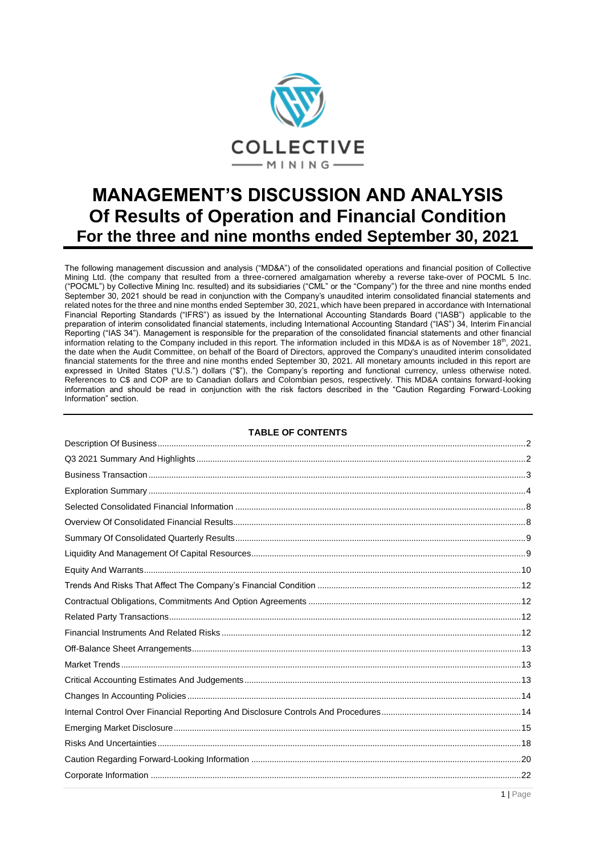

# **MANAGEMENT'S DISCUSSION AND ANALYSIS Of Results of Operation and Financial Condition For the three and nine months ended September 30, 2021**

The following management discussion and analysis ("MD&A") of the consolidated operations and financial position of Collective Mining Ltd. (the company that resulted from a three-cornered amalgamation whereby a reverse take-over of POCML 5 Inc. ("POCML") by Collective Mining Inc. resulted) and its subsidiaries ("CML" or the "Company") for the three and nine months ended September 30, 2021 should be read in conjunction with the Company's unaudited interim consolidated financial statements and related notes for the three and nine months ended September 30, 2021, which have been prepared in accordance with International Financial Reporting Standards ("IFRS") as issued by the International Accounting Standards Board ("IASB") applicable to the preparation of interim consolidated financial statements, including International Accounting Standard ("IAS") 34, Interim Financial Reporting ("IAS 34"). Management is responsible for the preparation of the consolidated financial statements and other financial information relating to the Company included in this report. The information included in this MD&A is as of November 18<sup>th</sup>, 2021, the date when the Audit Committee, on behalf of the Board of Directors, approved the Company's unaudited interim consolidated financial statements for the three and nine months ended September 30, 2021. All monetary amounts included in this report are expressed in United States ("U.S.") dollars ("\$"), the Company's reporting and functional currency, unless otherwise noted. References to C\$ and COP are to Canadian dollars and Colombian pesos, respectively. This MD&A contains forward-looking information and should be read in conjunction with the risk factors described in the "Caution Regarding Forward-Looking Information" section.

#### **TABLE OF CONTENTS**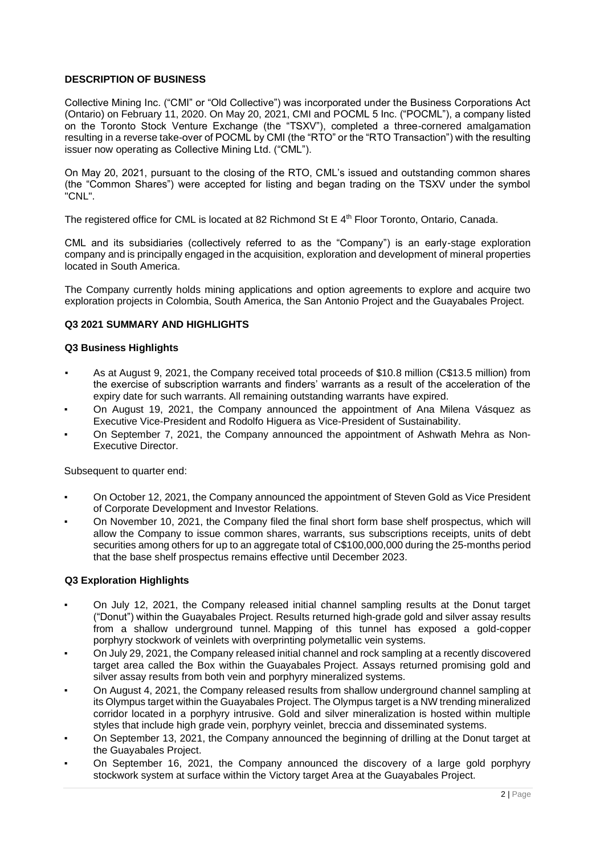# <span id="page-1-0"></span>**DESCRIPTION OF BUSINESS**

Collective Mining Inc. ("CMI" or "Old Collective") was incorporated under the Business Corporations Act (Ontario) on February 11, 2020. On May 20, 2021, CMI and POCML 5 Inc. ("POCML"), a company listed on the Toronto Stock Venture Exchange (the "TSXV"), completed a three-cornered amalgamation resulting in a reverse take-over of POCML by CMI (the "RTO" or the "RTO Transaction") with the resulting issuer now operating as Collective Mining Ltd. ("CML").

On May 20, 2021, pursuant to the closing of the RTO, CML's issued and outstanding common shares (the "Common Shares") were accepted for listing and began trading on the TSXV under the symbol "CNL".

The registered office for CML is located at 82 Richmond St E  $4<sup>th</sup>$  Floor Toronto, Ontario, Canada.

CML and its subsidiaries (collectively referred to as the "Company") is an early-stage exploration company and is principally engaged in the acquisition, exploration and development of mineral properties located in South America.

The Company currently holds mining applications and option agreements to explore and acquire two exploration projects in Colombia, South America, the San Antonio Project and the Guayabales Project.

# <span id="page-1-1"></span>**Q3 2021 SUMMARY AND HIGHLIGHTS**

#### **Q3 Business Highlights**

- As at August 9, 2021, the Company received total proceeds of \$10.8 million (C\$13.5 million) from the exercise of subscription warrants and finders' warrants as a result of the acceleration of the expiry date for such warrants. All remaining outstanding warrants have expired.
- On August 19, 2021, the Company announced the appointment of Ana Milena Vásquez as Executive Vice-President and Rodolfo Higuera as Vice-President of Sustainability.
- On September 7, 2021, the Company announced the appointment of Ashwath Mehra as Non-Executive Director.

Subsequent to quarter end:

- On October 12, 2021, the Company announced the appointment of Steven Gold as Vice President of Corporate Development and Investor Relations.
- On November 10, 2021, the Company filed the final short form base shelf prospectus, which will allow the Company to issue common shares, warrants, sus subscriptions receipts, units of debt securities among others for up to an aggregate total of C\$100,000,000 during the 25-months period that the base shelf prospectus remains effective until December 2023.

# **Q3 Exploration Highlights**

- On July 12, 2021, the Company released initial channel sampling results at the Donut target ("Donut") within the Guayabales Project. Results returned high-grade gold and silver assay results from a shallow underground tunnel. Mapping of this tunnel has exposed a gold-copper porphyry stockwork of veinlets with overprinting polymetallic vein systems.
- On July 29, 2021, the Company released initial channel and rock sampling at a recently discovered target area called the Box within the Guayabales Project. Assays returned promising gold and silver assay results from both vein and porphyry mineralized systems.
- On August 4, 2021, the Company released results from shallow underground channel sampling at its Olympus target within the Guayabales Project. The Olympus target is a NW trending mineralized corridor located in a porphyry intrusive. Gold and silver mineralization is hosted within multiple styles that include high grade vein, porphyry veinlet, breccia and disseminated systems.
- On September 13, 2021, the Company announced the beginning of drilling at the Donut target at the Guayabales Project.
- On September 16, 2021, the Company announced the discovery of a large gold porphyry stockwork system at surface within the Victory target Area at the Guayabales Project.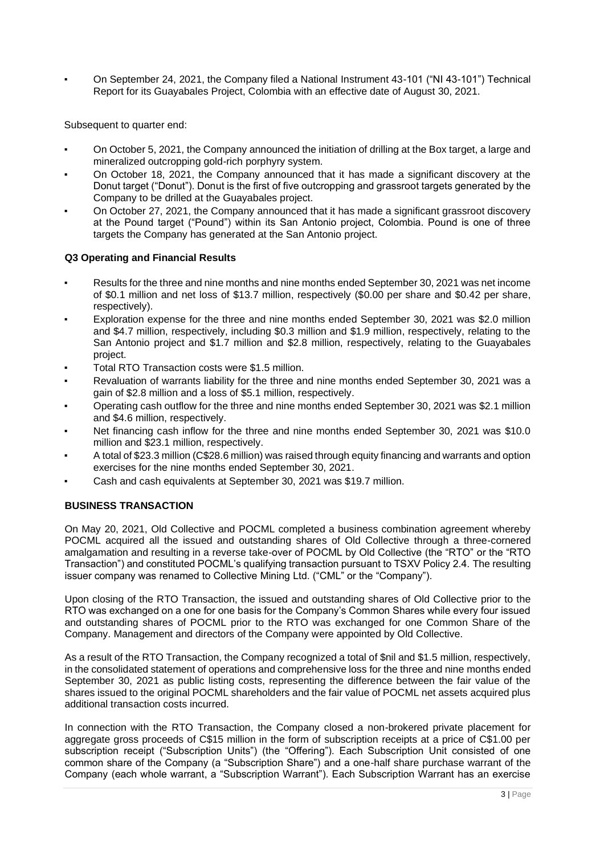On September 24, 2021, the Company filed a National Instrument 43-101 ("NI 43-101") Technical Report for its Guayabales Project, Colombia with an effective date of August 30, 2021.

Subsequent to quarter end:

- On October 5, 2021, the Company announced the initiation of drilling at the Box target, a large and mineralized outcropping gold-rich porphyry system.
- On October 18, 2021, the Company announced that it has made a significant discovery at the Donut target ("Donut"). Donut is the first of five outcropping and grassroot targets generated by the Company to be drilled at the Guayabales project.
- On October 27, 2021, the Company announced that it has made a significant grassroot discovery at the Pound target ("Pound") within its San Antonio project, Colombia. Pound is one of three targets the Company has generated at the San Antonio project.

## **Q3 Operating and Financial Results**

- Results for the three and nine months and nine months ended September 30, 2021 was net income of \$0.1 million and net loss of \$13.7 million, respectively (\$0.00 per share and \$0.42 per share, respectively).
- Exploration expense for the three and nine months ended September 30, 2021 was \$2.0 million and \$4.7 million, respectively, including \$0.3 million and \$1.9 million, respectively, relating to the San Antonio project and \$1.7 million and \$2.8 million, respectively, relating to the Guayabales project.
- Total RTO Transaction costs were \$1.5 million.
- Revaluation of warrants liability for the three and nine months ended September 30, 2021 was a gain of \$2.8 million and a loss of \$5.1 million, respectively.
- Operating cash outflow for the three and nine months ended September 30, 2021 was \$2.1 million and \$4.6 million, respectively.
- Net financing cash inflow for the three and nine months ended September 30, 2021 was \$10.0 million and \$23.1 million, respectively.
- A total of \$23.3 million (C\$28.6 million) was raised through equity financing and warrants and option exercises for the nine months ended September 30, 2021.
- Cash and cash equivalents at September 30, 2021 was \$19.7 million.

# <span id="page-2-0"></span>**BUSINESS TRANSACTION**

On May 20, 2021, Old Collective and POCML completed a business combination agreement whereby POCML acquired all the issued and outstanding shares of Old Collective through a three-cornered amalgamation and resulting in a reverse take-over of POCML by Old Collective (the "RTO" or the "RTO Transaction") and constituted POCML's qualifying transaction pursuant to TSXV Policy 2.4. The resulting issuer company was renamed to Collective Mining Ltd. ("CML" or the "Company").

Upon closing of the RTO Transaction, the issued and outstanding shares of Old Collective prior to the RTO was exchanged on a one for one basis for the Company's Common Shares while every four issued and outstanding shares of POCML prior to the RTO was exchanged for one Common Share of the Company. Management and directors of the Company were appointed by Old Collective.

As a result of the RTO Transaction, the Company recognized a total of \$nil and \$1.5 million, respectively, in the consolidated statement of operations and comprehensive loss for the three and nine months ended September 30, 2021 as public listing costs, representing the difference between the fair value of the shares issued to the original POCML shareholders and the fair value of POCML net assets acquired plus additional transaction costs incurred.

In connection with the RTO Transaction, the Company closed a non-brokered private placement for aggregate gross proceeds of C\$15 million in the form of subscription receipts at a price of C\$1.00 per subscription receipt ("Subscription Units") (the "Offering"). Each Subscription Unit consisted of one common share of the Company (a "Subscription Share") and a one-half share purchase warrant of the Company (each whole warrant, a "Subscription Warrant"). Each Subscription Warrant has an exercise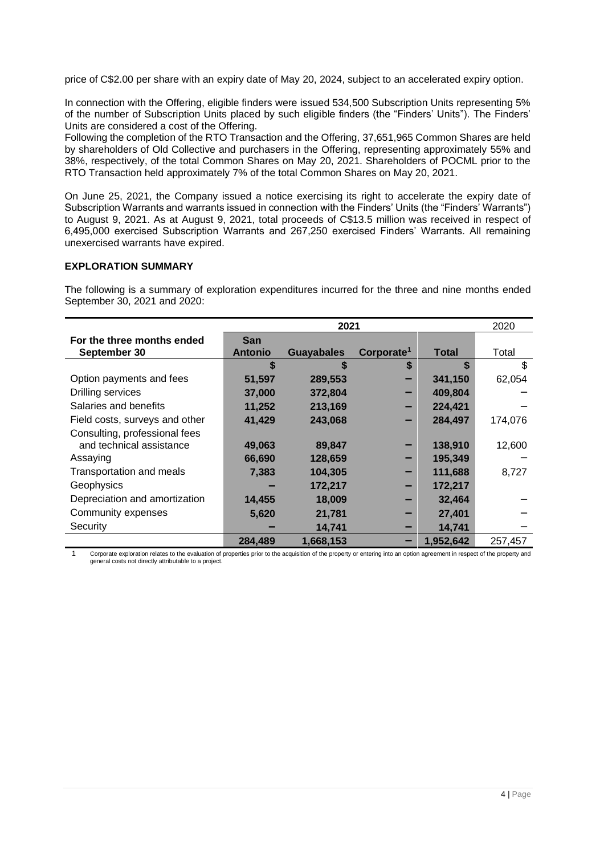price of C\$2.00 per share with an expiry date of May 20, 2024, subject to an accelerated expiry option.

In connection with the Offering, eligible finders were issued 534,500 Subscription Units representing 5% of the number of Subscription Units placed by such eligible finders (the "Finders' Units"). The Finders' Units are considered a cost of the Offering.

Following the completion of the RTO Transaction and the Offering, 37,651,965 Common Shares are held by shareholders of Old Collective and purchasers in the Offering, representing approximately 55% and 38%, respectively, of the total Common Shares on May 20, 2021. Shareholders of POCML prior to the RTO Transaction held approximately 7% of the total Common Shares on May 20, 2021.

On June 25, 2021, the Company issued a notice exercising its right to accelerate the expiry date of Subscription Warrants and warrants issued in connection with the Finders' Units (the "Finders' Warrants") to August 9, 2021. As at August 9, 2021, total proceeds of C\$13.5 million was received in respect of 6,495,000 exercised Subscription Warrants and 267,250 exercised Finders' Warrants. All remaining unexercised warrants have expired.

## <span id="page-3-0"></span>**EXPLORATION SUMMARY**

The following is a summary of exploration expenditures incurred for the three and nine months ended September 30, 2021 and 2020:

|                                |                |                   | 2020                   |              |         |
|--------------------------------|----------------|-------------------|------------------------|--------------|---------|
| For the three months ended     | <b>San</b>     |                   |                        |              |         |
| September 30                   | <b>Antonio</b> | <b>Guayabales</b> | Corporate <sup>1</sup> | <b>Total</b> | Total   |
|                                | S              | \$                | \$                     |              | \$      |
| Option payments and fees       | 51,597         | 289,553           |                        | 341,150      | 62,054  |
| Drilling services              | 37,000         | 372,804           |                        | 409,804      |         |
| Salaries and benefits          | 11,252         | 213,169           |                        | 224,421      |         |
| Field costs, surveys and other | 41,429         | 243,068           |                        | 284,497      | 174,076 |
| Consulting, professional fees  |                |                   |                        |              |         |
| and technical assistance       | 49,063         | 89,847            |                        | 138,910      | 12,600  |
| Assaying                       | 66,690         | 128,659           |                        | 195,349      |         |
| Transportation and meals       | 7,383          | 104,305           |                        | 111,688      | 8,727   |
| Geophysics                     |                | 172,217           |                        | 172,217      |         |
| Depreciation and amortization  | 14,455         | 18,009            |                        | 32,464       |         |
| Community expenses             | 5,620          | 21,781            |                        | 27,401       |         |
| Security                       |                | 14,741            |                        | 14,741       |         |
|                                | 284.489        | 1,668,153         |                        | 1.952.642    | 257,457 |

1 Corporate exploration relates to the evaluation of properties prior to the acquisition of the property or entering into an option agreement in respect of the property and general costs not directly attributable to a project.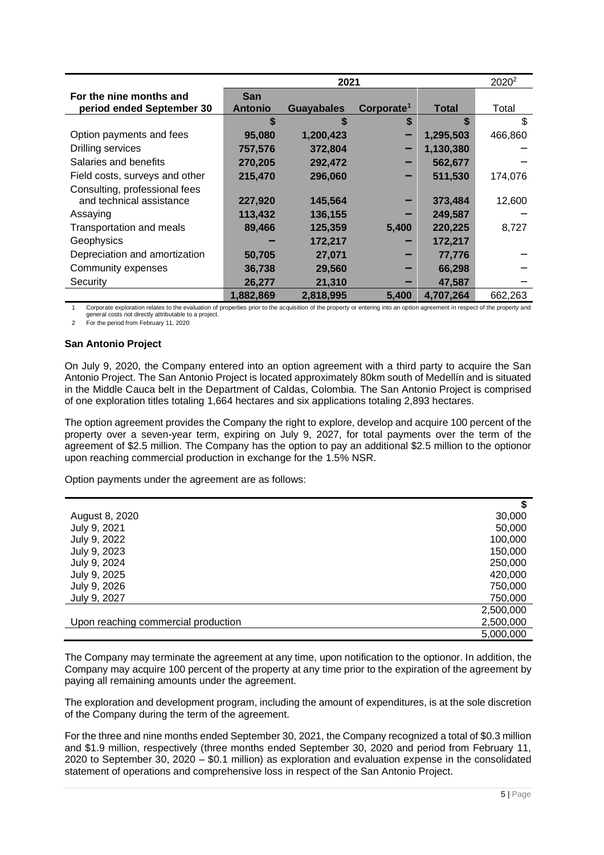|                                 |                | 2020 <sup>2</sup> |                        |              |         |
|---------------------------------|----------------|-------------------|------------------------|--------------|---------|
| For the nine months and         | <b>San</b>     |                   |                        |              |         |
| period ended September 30       | <b>Antonio</b> | <b>Guayabales</b> | Corporate <sup>1</sup> | <b>Total</b> | Total   |
|                                 | S              | \$                | S                      | S            | \$      |
| Option payments and fees        | 95,080         | 1,200,423         |                        | 1,295,503    | 466,860 |
| Drilling services               | 757,576        | 372,804           |                        | 1,130,380    |         |
| Salaries and benefits           | 270,205        | 292,472           |                        | 562,677      |         |
| Field costs, surveys and other  | 215,470        | 296,060           |                        | 511,530      | 174,076 |
| Consulting, professional fees   |                |                   |                        |              |         |
| and technical assistance        | 227,920        | 145,564           |                        | 373,484      | 12,600  |
| Assaying                        | 113,432        | 136,155           |                        | 249,587      |         |
| <b>Transportation and meals</b> | 89,466         | 125,359           | 5,400                  | 220,225      | 8,727   |
| Geophysics                      |                | 172,217           |                        | 172,217      |         |
| Depreciation and amortization   | 50,705         | 27,071            |                        | 77,776       |         |
| Community expenses              | 36,738         | 29,560            |                        | 66,298       |         |
| Security                        | 26,277         | 21,310            |                        | 47,587       |         |
|                                 | 1,882,869      | 2,818,995         | 5.400                  | 4.707.264    | 662.263 |

1 Corporate exploration relates to the evaluation of properties prior to the acquisition of the property or entering into an option agreement in respect of the property and general costs not directly attributable to a project.

2 For the period from February 11, 2020

# **San Antonio Project**

On July 9, 2020, the Company entered into an option agreement with a third party to acquire the San Antonio Project. The San Antonio Project is located approximately 80km south of Medellín and is situated in the Middle Cauca belt in the Department of Caldas, Colombia. The San Antonio Project is comprised of one exploration titles totaling 1,664 hectares and six applications totaling 2,893 hectares.

The option agreement provides the Company the right to explore, develop and acquire 100 percent of the property over a seven-year term, expiring on July 9, 2027, for total payments over the term of the agreement of \$2.5 million. The Company has the option to pay an additional \$2.5 million to the optionor upon reaching commercial production in exchange for the 1.5% NSR.

Option payments under the agreement are as follows:

| August 8, 2020                      | 30,000    |
|-------------------------------------|-----------|
| July 9, 2021                        | 50,000    |
| July 9, 2022                        | 100,000   |
| July 9, 2023                        | 150,000   |
| July 9, 2024                        | 250,000   |
| July 9, 2025                        | 420,000   |
| July 9, 2026                        | 750,000   |
| July 9, 2027                        | 750,000   |
|                                     | 2,500,000 |
| Upon reaching commercial production | 2,500,000 |
|                                     | 5,000,000 |

The Company may terminate the agreement at any time, upon notification to the optionor. In addition, the Company may acquire 100 percent of the property at any time prior to the expiration of the agreement by paying all remaining amounts under the agreement.

The exploration and development program, including the amount of expenditures, is at the sole discretion of the Company during the term of the agreement.

For the three and nine months ended September 30, 2021, the Company recognized a total of \$0.3 million and \$1.9 million, respectively (three months ended September 30, 2020 and period from February 11, 2020 to September 30, 2020 – \$0.1 million) as exploration and evaluation expense in the consolidated statement of operations and comprehensive loss in respect of the San Antonio Project.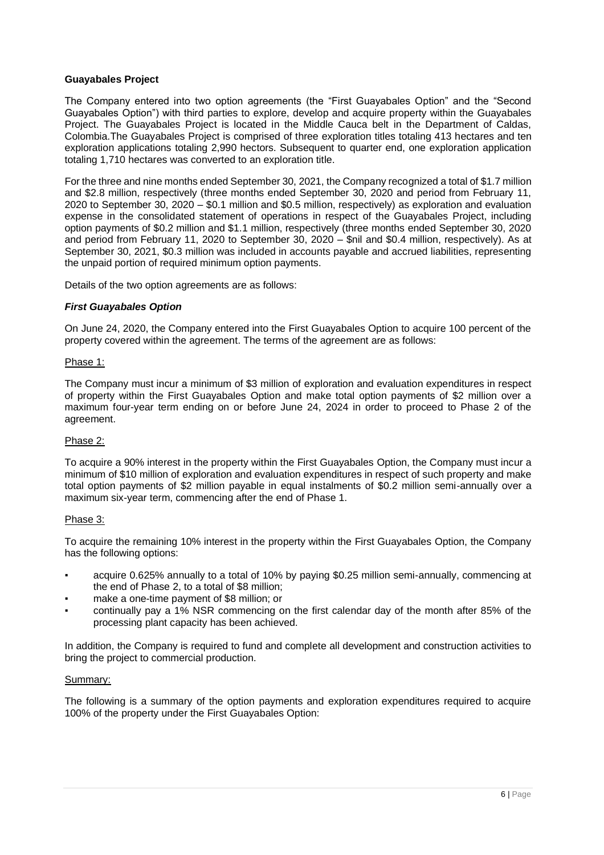## **Guayabales Project**

The Company entered into two option agreements (the "First Guayabales Option" and the "Second Guayabales Option") with third parties to explore, develop and acquire property within the Guayabales Project. The Guayabales Project is located in the Middle Cauca belt in the Department of Caldas, Colombia.The Guayabales Project is comprised of three exploration titles totaling 413 hectares and ten exploration applications totaling 2,990 hectors. Subsequent to quarter end, one exploration application totaling 1,710 hectares was converted to an exploration title.

For the three and nine months ended September 30, 2021, the Company recognized a total of \$1.7 million and \$2.8 million, respectively (three months ended September 30, 2020 and period from February 11, 2020 to September 30, 2020 – \$0.1 million and \$0.5 million, respectively) as exploration and evaluation expense in the consolidated statement of operations in respect of the Guayabales Project, including option payments of \$0.2 million and \$1.1 million, respectively (three months ended September 30, 2020 and period from February 11, 2020 to September 30, 2020 – \$nil and \$0.4 million, respectively). As at September 30, 2021, \$0.3 million was included in accounts payable and accrued liabilities, representing the unpaid portion of required minimum option payments.

Details of the two option agreements are as follows:

## *First Guayabales Option*

On June 24, 2020, the Company entered into the First Guayabales Option to acquire 100 percent of the property covered within the agreement. The terms of the agreement are as follows:

#### Phase 1:

The Company must incur a minimum of \$3 million of exploration and evaluation expenditures in respect of property within the First Guayabales Option and make total option payments of \$2 million over a maximum four-year term ending on or before June 24, 2024 in order to proceed to Phase 2 of the agreement.

#### Phase 2:

To acquire a 90% interest in the property within the First Guayabales Option, the Company must incur a minimum of \$10 million of exploration and evaluation expenditures in respect of such property and make total option payments of \$2 million payable in equal instalments of \$0.2 million semi-annually over a maximum six-year term, commencing after the end of Phase 1.

# Phase 3:

To acquire the remaining 10% interest in the property within the First Guayabales Option, the Company has the following options:

- acquire 0.625% annually to a total of 10% by paying \$0.25 million semi-annually, commencing at the end of Phase 2, to a total of \$8 million;
- make a one-time payment of \$8 million; or
- continually pay a 1% NSR commencing on the first calendar day of the month after 85% of the processing plant capacity has been achieved.

In addition, the Company is required to fund and complete all development and construction activities to bring the project to commercial production.

#### Summary:

The following is a summary of the option payments and exploration expenditures required to acquire 100% of the property under the First Guayabales Option: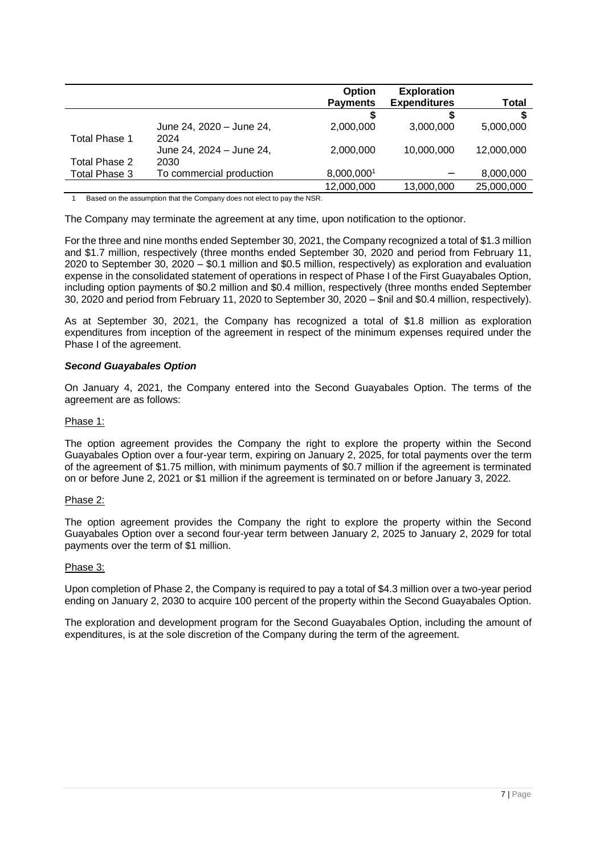|               |                          | Option<br><b>Payments</b> | <b>Exploration</b><br><b>Expenditures</b> | Total      |
|---------------|--------------------------|---------------------------|-------------------------------------------|------------|
|               |                          |                           | S                                         |            |
|               | June 24, 2020 - June 24, | 2,000,000                 | 3,000,000                                 | 5,000,000  |
| Total Phase 1 | 2024                     |                           |                                           |            |
|               | June 24, 2024 - June 24, | 2,000,000                 | 10,000,000                                | 12,000,000 |
| Total Phase 2 | 2030                     |                           |                                           |            |
| Total Phase 3 | To commercial production | 8,000,0001                |                                           | 8,000,000  |
|               |                          | 12,000,000                | 13,000,000                                | 25,000,000 |

Based on the assumption that the Company does not elect to pay the NSR.

The Company may terminate the agreement at any time, upon notification to the optionor.

For the three and nine months ended September 30, 2021, the Company recognized a total of \$1.3 million and \$1.7 million, respectively (three months ended September 30, 2020 and period from February 11, 2020 to September 30, 2020 – \$0.1 million and \$0.5 million, respectively) as exploration and evaluation expense in the consolidated statement of operations in respect of Phase I of the First Guayabales Option, including option payments of \$0.2 million and \$0.4 million, respectively (three months ended September 30, 2020 and period from February 11, 2020 to September 30, 2020 – \$nil and \$0.4 million, respectively).

As at September 30, 2021, the Company has recognized a total of \$1.8 million as exploration expenditures from inception of the agreement in respect of the minimum expenses required under the Phase I of the agreement.

# *Second Guayabales Option*

On January 4, 2021, the Company entered into the Second Guayabales Option. The terms of the agreement are as follows:

# Phase 1:

The option agreement provides the Company the right to explore the property within the Second Guayabales Option over a four-year term, expiring on January 2, 2025, for total payments over the term of the agreement of \$1.75 million, with minimum payments of \$0.7 million if the agreement is terminated on or before June 2, 2021 or \$1 million if the agreement is terminated on or before January 3, 2022.

# Phase 2:

The option agreement provides the Company the right to explore the property within the Second Guayabales Option over a second four-year term between January 2, 2025 to January 2, 2029 for total payments over the term of \$1 million.

# Phase 3:

Upon completion of Phase 2, the Company is required to pay a total of \$4.3 million over a two-year period ending on January 2, 2030 to acquire 100 percent of the property within the Second Guayabales Option.

The exploration and development program for the Second Guayabales Option, including the amount of expenditures, is at the sole discretion of the Company during the term of the agreement.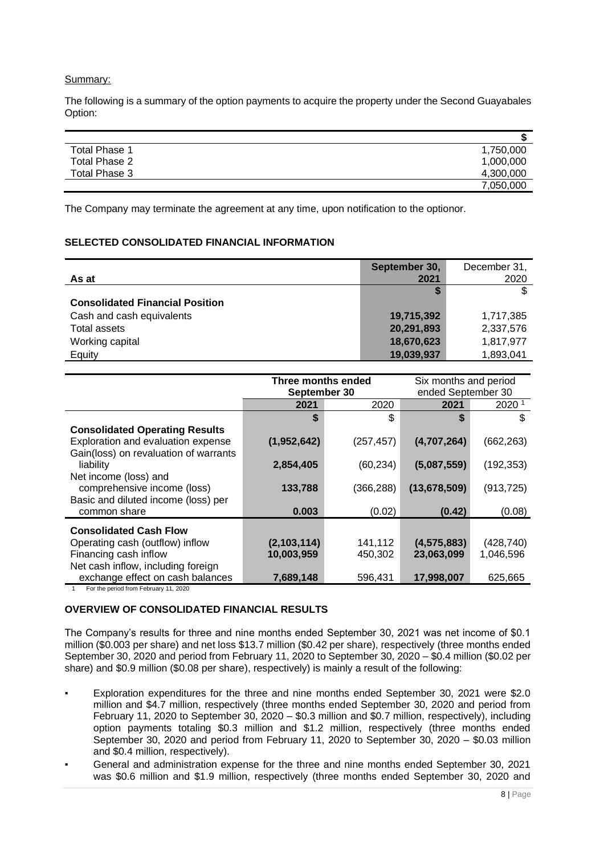#### Summary:

The following is a summary of the option payments to acquire the property under the Second Guayabales Option:

|                      | ۰D        |
|----------------------|-----------|
| <b>Total Phase 1</b> | 1,750,000 |
| Total Phase 2        | 1,000,000 |
| Total Phase 3        | 4,300,000 |
|                      | 7,050,000 |

The Company may terminate the agreement at any time, upon notification to the optionor.

# <span id="page-7-0"></span>**SELECTED CONSOLIDATED FINANCIAL INFORMATION**

|                                        | September 30, | December 31, |
|----------------------------------------|---------------|--------------|
| As at                                  | 2021          | 2020         |
|                                        |               |              |
| <b>Consolidated Financial Position</b> |               |              |
| Cash and cash equivalents              | 19,715,392    | 1,717,385    |
| Total assets                           | 20,291,893    | 2,337,576    |
| Working capital                        | 18,670,623    | 1,817,977    |
| Equity                                 | 19,039,937    | 1,893,041    |

|                                       | Three months ended |                   | Six months and period |            |
|---------------------------------------|--------------------|-------------------|-----------------------|------------|
|                                       | September 30       |                   | ended September 30    |            |
|                                       | 2021               | 2020 <sup>1</sup> |                       |            |
|                                       | S                  | \$                | S                     | \$         |
| <b>Consolidated Operating Results</b> |                    |                   |                       |            |
| Exploration and evaluation expense    | (1,952,642)        | (257, 457)        | (4,707,264)           | (662, 263) |
| Gain(loss) on revaluation of warrants |                    |                   |                       |            |
| liability                             | 2,854,405          | (60, 234)         | (5,087,559)           | (192, 353) |
| Net income (loss) and                 |                    |                   |                       |            |
| comprehensive income (loss)           | 133,788            | (366, 288)        | (13, 678, 509)        | (913, 725) |
| Basic and diluted income (loss) per   |                    |                   |                       |            |
| common share                          | 0.003              | (0.02)            | (0.42)                | (0.08)     |
|                                       |                    |                   |                       |            |
| <b>Consolidated Cash Flow</b>         |                    |                   |                       |            |
| Operating cash (outflow) inflow       | (2,103,114)        | 141,112           | (4, 575, 883)         | (428, 740) |
| Financing cash inflow                 | 10,003,959         | 450,302           | 23,063,099            | 1,046,596  |
| Net cash inflow, including foreign    |                    |                   |                       |            |
| exchange effect on cash balances      | 7,689,148          | 596.431           | 17,998,007            | 625.665    |

1 For the period from February 11, 2020

# <span id="page-7-1"></span>**OVERVIEW OF CONSOLIDATED FINANCIAL RESULTS**

The Company's results for three and nine months ended September 30, 2021 was net income of \$0.1 million (\$0.003 per share) and net loss \$13.7 million (\$0.42 per share), respectively (three months ended September 30, 2020 and period from February 11, 2020 to September 30, 2020 – \$0.4 million (\$0.02 per share) and \$0.9 million (\$0.08 per share), respectively) is mainly a result of the following:

- Exploration expenditures for the three and nine months ended September 30, 2021 were \$2.0 million and \$4.7 million, respectively (three months ended September 30, 2020 and period from February 11, 2020 to September 30, 2020 – \$0.3 million and \$0.7 million, respectively), including option payments totaling \$0.3 million and \$1.2 million, respectively (three months ended September 30, 2020 and period from February 11, 2020 to September 30, 2020 – \$0.03 million and \$0.4 million, respectively).
- General and administration expense for the three and nine months ended September 30, 2021 was \$0.6 million and \$1.9 million, respectively (three months ended September 30, 2020 and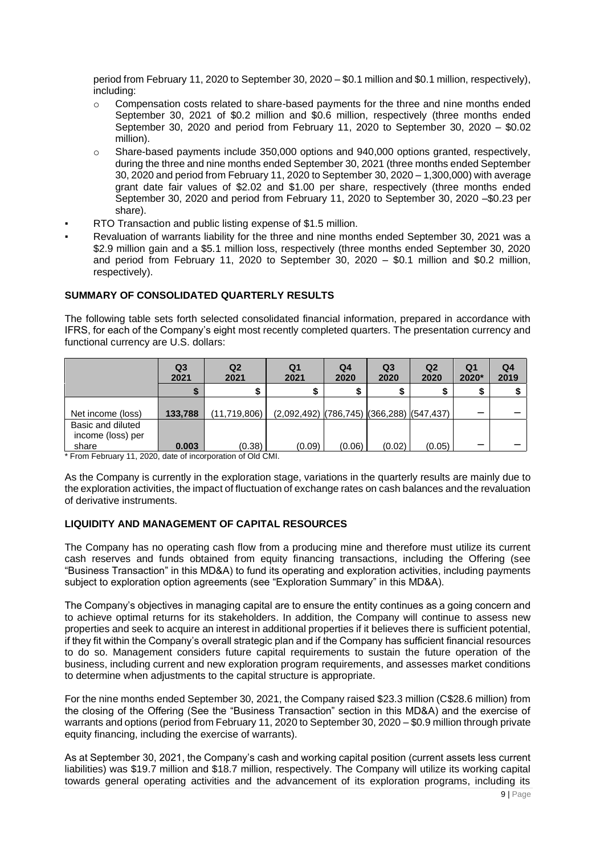period from February 11, 2020 to September 30, 2020 – \$0.1 million and \$0.1 million, respectively), including:

- o Compensation costs related to share-based payments for the three and nine months ended September 30, 2021 of \$0.2 million and \$0.6 million, respectively (three months ended September 30, 2020 and period from February 11, 2020 to September 30, 2020 – \$0.02 million).
- $\circ$  Share-based payments include 350,000 options and 940,000 options granted, respectively, during the three and nine months ended September 30, 2021 (three months ended September 30, 2020 and period from February 11, 2020 to September 30, 2020 – 1,300,000) with average grant date fair values of \$2.02 and \$1.00 per share, respectively (three months ended September 30, 2020 and period from February 11, 2020 to September 30, 2020 –\$0.23 per share).
- RTO Transaction and public listing expense of \$1.5 million.
- Revaluation of warrants liability for the three and nine months ended September 30, 2021 was a \$2.9 million gain and a \$5.1 million loss, respectively (three months ended September 30, 2020 and period from February 11, 2020 to September 30, 2020 – \$0.1 million and \$0.2 million, respectively).

# <span id="page-8-0"></span>**SUMMARY OF CONSOLIDATED QUARTERLY RESULTS**

The following table sets forth selected consolidated financial information, prepared in accordance with IFRS, for each of the Company's eight most recently completed quarters. The presentation currency and functional currency are U.S. dollars:

|                                                 | Q <sub>3</sub><br>2021 | Q <sub>2</sub><br>2021 | Q <sub>1</sub><br>2021                      | Q4<br>2020 | Q <sub>3</sub><br>2020 | Q <sub>2</sub><br>2020 | Q <sub>1</sub><br>2020* | Q <sub>4</sub><br>2019 |
|-------------------------------------------------|------------------------|------------------------|---------------------------------------------|------------|------------------------|------------------------|-------------------------|------------------------|
|                                                 |                        |                        |                                             |            |                        |                        |                         |                        |
| Net income (loss)                               | 133,788                | (11,719,806)           | $(2,092,492)$ (786,745) (366,288) (547,437) |            |                        |                        | __                      |                        |
| Basic and diluted<br>income (loss) per<br>share | 0.003                  | (0.38)                 | (0.09)                                      | (0.06)     | (0.02)                 | (0.05)                 |                         |                        |

\* From February 11, 2020, date of incorporation of Old CMI.

As the Company is currently in the exploration stage, variations in the quarterly results are mainly due to the exploration activities, the impact of fluctuation of exchange rates on cash balances and the revaluation of derivative instruments.

# <span id="page-8-1"></span>**LIQUIDITY AND MANAGEMENT OF CAPITAL RESOURCES**

The Company has no operating cash flow from a producing mine and therefore must utilize its current cash reserves and funds obtained from equity financing transactions, including the Offering (see "Business Transaction" in this MD&A) to fund its operating and exploration activities, including payments subject to exploration option agreements (see "Exploration Summary" in this MD&A).

The Company's objectives in managing capital are to ensure the entity continues as a going concern and to achieve optimal returns for its stakeholders. In addition, the Company will continue to assess new properties and seek to acquire an interest in additional properties if it believes there is sufficient potential, if they fit within the Company's overall strategic plan and if the Company has sufficient financial resources to do so. Management considers future capital requirements to sustain the future operation of the business, including current and new exploration program requirements, and assesses market conditions to determine when adjustments to the capital structure is appropriate.

For the nine months ended September 30, 2021, the Company raised \$23.3 million (C\$28.6 million) from the closing of the Offering (See the "Business Transaction" section in this MD&A) and the exercise of warrants and options (period from February 11, 2020 to September 30, 2020 – \$0.9 million through private equity financing, including the exercise of warrants).

As at September 30, 2021, the Company's cash and working capital position (current assets less current liabilities) was \$19.7 million and \$18.7 million, respectively. The Company will utilize its working capital towards general operating activities and the advancement of its exploration programs, including its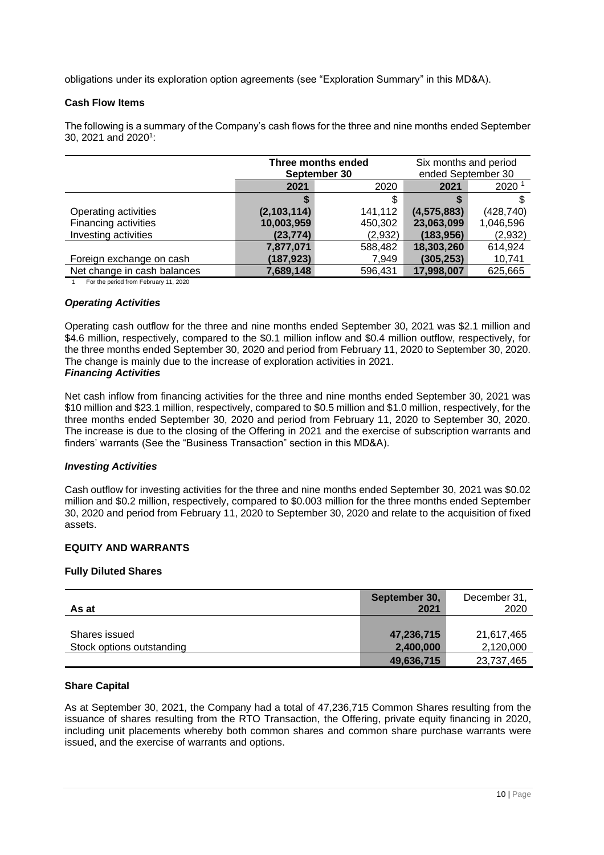obligations under its exploration option agreements (see "Exploration Summary" in this MD&A).

## **Cash Flow Items**

The following is a summary of the Company's cash flows for the three and nine months ended September 30, 2021 and 2020<sup>1</sup>:

|                                       |             | Three months ended | Six months and period |                   |  |
|---------------------------------------|-------------|--------------------|-----------------------|-------------------|--|
|                                       |             | September 30       | ended September 30    |                   |  |
|                                       | 2021        | 2020               | 2021                  | 2020 <sup>1</sup> |  |
|                                       |             |                    |                       |                   |  |
| Operating activities                  | (2,103,114) | 141,112            | (4, 575, 883)         | (428, 740)        |  |
| Financing activities                  | 10,003,959  | 450,302            | 23,063,099            | 1,046,596         |  |
| Investing activities                  | (23, 774)   | (2,932)            | (183, 956)            | (2,932)           |  |
|                                       | 7,877,071   | 588,482            | 18,303,260            | 614,924           |  |
| Foreign exchange on cash              | (187, 923)  | 7,949              | (305, 253)            | 10,741            |  |
| Net change in cash balances           | 7,689,148   | 596,431            | 17,998,007            | 625,665           |  |
| For the period from February 11, 2020 |             |                    |                       |                   |  |

## *Operating Activities*

Operating cash outflow for the three and nine months ended September 30, 2021 was \$2.1 million and \$4.6 million, respectively, compared to the \$0.1 million inflow and \$0.4 million outflow, respectively, for the three months ended September 30, 2020 and period from February 11, 2020 to September 30, 2020. The change is mainly due to the increase of exploration activities in 2021. *Financing Activities*

Net cash inflow from financing activities for the three and nine months ended September 30, 2021 was \$10 million and \$23.1 million, respectively, compared to \$0.5 million and \$1.0 million, respectively, for the three months ended September 30, 2020 and period from February 11, 2020 to September 30, 2020. The increase is due to the closing of the Offering in 2021 and the exercise of subscription warrants and finders' warrants (See the "Business Transaction" section in this MD&A).

## *Investing Activities*

Cash outflow for investing activities for the three and nine months ended September 30, 2021 was \$0.02 million and \$0.2 million, respectively, compared to \$0.003 million for the three months ended September 30, 2020 and period from February 11, 2020 to September 30, 2020 and relate to the acquisition of fixed assets.

#### <span id="page-9-0"></span>**EQUITY AND WARRANTS**

### **Fully Diluted Shares**

| As at                     | September 30,<br>2021   | December 31,<br>2020    |
|---------------------------|-------------------------|-------------------------|
| Shares issued             | 47,236,715              | 21,617,465              |
| Stock options outstanding | 2,400,000<br>49,636,715 | 2,120,000<br>23,737,465 |

#### **Share Capital**

As at September 30, 2021, the Company had a total of 47,236,715 Common Shares resulting from the issuance of shares resulting from the RTO Transaction, the Offering, private equity financing in 2020, including unit placements whereby both common shares and common share purchase warrants were issued, and the exercise of warrants and options.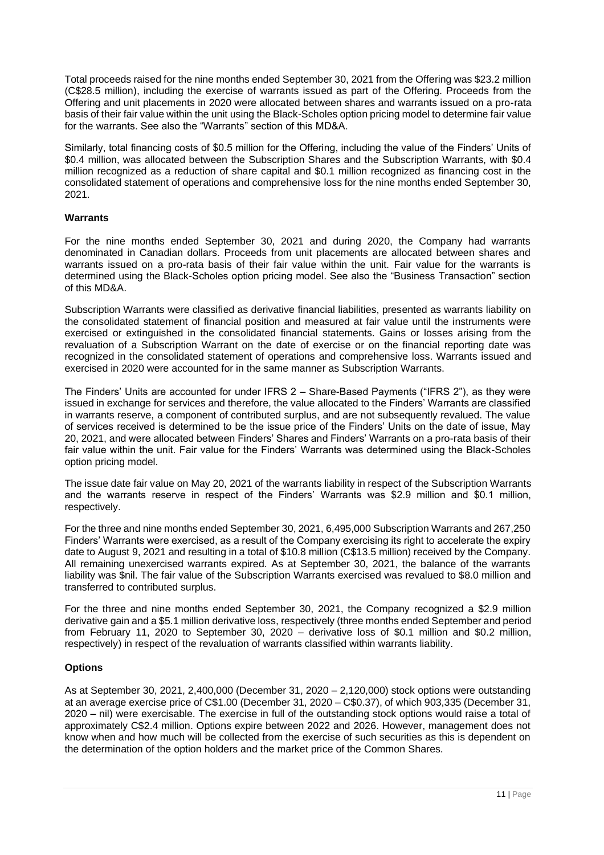Total proceeds raised for the nine months ended September 30, 2021 from the Offering was \$23.2 million (C\$28.5 million), including the exercise of warrants issued as part of the Offering. Proceeds from the Offering and unit placements in 2020 were allocated between shares and warrants issued on a pro-rata basis of their fair value within the unit using the Black-Scholes option pricing model to determine fair value for the warrants. See also the "Warrants" section of this MD&A.

Similarly, total financing costs of \$0.5 million for the Offering, including the value of the Finders' Units of \$0.4 million, was allocated between the Subscription Shares and the Subscription Warrants, with \$0.4 million recognized as a reduction of share capital and \$0.1 million recognized as financing cost in the consolidated statement of operations and comprehensive loss for the nine months ended September 30, 2021.

## **Warrants**

For the nine months ended September 30, 2021 and during 2020, the Company had warrants denominated in Canadian dollars. Proceeds from unit placements are allocated between shares and warrants issued on a pro-rata basis of their fair value within the unit. Fair value for the warrants is determined using the Black-Scholes option pricing model. See also the "Business Transaction" section of this MD&A.

Subscription Warrants were classified as derivative financial liabilities, presented as warrants liability on the consolidated statement of financial position and measured at fair value until the instruments were exercised or extinguished in the consolidated financial statements. Gains or losses arising from the revaluation of a Subscription Warrant on the date of exercise or on the financial reporting date was recognized in the consolidated statement of operations and comprehensive loss. Warrants issued and exercised in 2020 were accounted for in the same manner as Subscription Warrants.

The Finders' Units are accounted for under IFRS 2 – Share-Based Payments ("IFRS 2"), as they were issued in exchange for services and therefore, the value allocated to the Finders' Warrants are classified in warrants reserve, a component of contributed surplus, and are not subsequently revalued. The value of services received is determined to be the issue price of the Finders' Units on the date of issue, May 20, 2021, and were allocated between Finders' Shares and Finders' Warrants on a pro-rata basis of their fair value within the unit. Fair value for the Finders' Warrants was determined using the Black-Scholes option pricing model.

The issue date fair value on May 20, 2021 of the warrants liability in respect of the Subscription Warrants and the warrants reserve in respect of the Finders' Warrants was \$2.9 million and \$0.1 million, respectively.

For the three and nine months ended September 30, 2021, 6,495,000 Subscription Warrants and 267,250 Finders' Warrants were exercised, as a result of the Company exercising its right to accelerate the expiry date to August 9, 2021 and resulting in a total of \$10.8 million (C\$13.5 million) received by the Company. All remaining unexercised warrants expired. As at September 30, 2021, the balance of the warrants liability was \$nil. The fair value of the Subscription Warrants exercised was revalued to \$8.0 million and transferred to contributed surplus.

For the three and nine months ended September 30, 2021, the Company recognized a \$2.9 million derivative gain and a \$5.1 million derivative loss, respectively (three months ended September and period from February 11, 2020 to September 30, 2020 – derivative loss of \$0.1 million and \$0.2 million, respectively) in respect of the revaluation of warrants classified within warrants liability.

# **Options**

As at September 30, 2021, 2,400,000 (December 31, 2020 – 2,120,000) stock options were outstanding at an average exercise price of C\$1.00 (December 31, 2020 – C\$0.37), of which 903,335 (December 31, 2020 – nil) were exercisable. The exercise in full of the outstanding stock options would raise a total of approximately C\$2.4 million. Options expire between 2022 and 2026. However, management does not know when and how much will be collected from the exercise of such securities as this is dependent on the determination of the option holders and the market price of the Common Shares.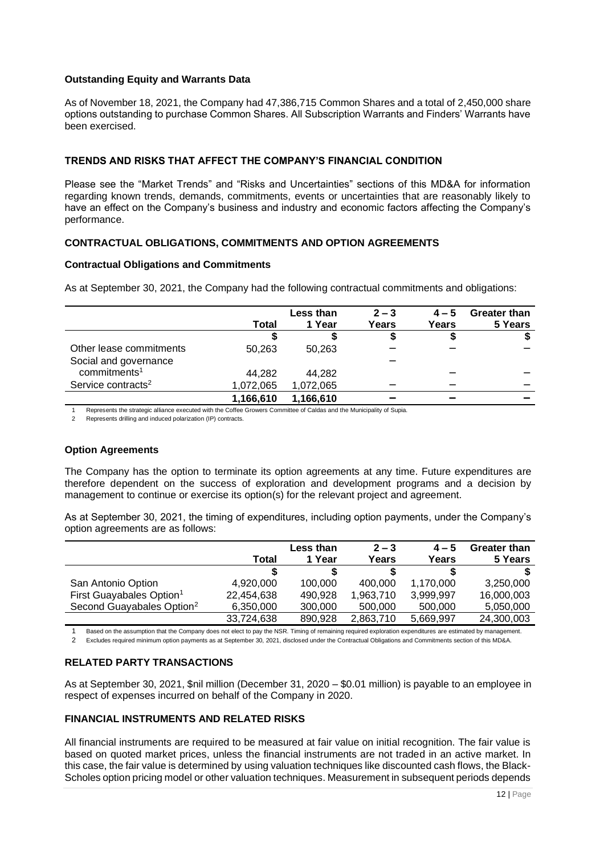## **Outstanding Equity and Warrants Data**

As of November 18, 2021, the Company had 47,386,715 Common Shares and a total of 2,450,000 share options outstanding to purchase Common Shares. All Subscription Warrants and Finders' Warrants have been exercised.

# <span id="page-11-0"></span>**TRENDS AND RISKS THAT AFFECT THE COMPANY'S FINANCIAL CONDITION**

Please see the "Market Trends" and "Risks and Uncertainties" sections of this MD&A for information regarding known trends, demands, commitments, events or uncertainties that are reasonably likely to have an effect on the Company's business and industry and economic factors affecting the Company's performance.

# <span id="page-11-1"></span>**CONTRACTUAL OBLIGATIONS, COMMITMENTS AND OPTION AGREEMENTS**

## **Contractual Obligations and Commitments**

As at September 30, 2021, the Company had the following contractual commitments and obligations:

|                                |           | Less than | $2 - 3$ | $4 - 5$ | <b>Greater than</b> |
|--------------------------------|-----------|-----------|---------|---------|---------------------|
|                                | Total     | 1 Year    | Years   | Years   | 5 Years             |
|                                |           |           | จ       | \$      |                     |
| Other lease commitments        | 50.263    | 50.263    |         |         |                     |
| Social and governance          |           |           |         |         |                     |
| commitments <sup>1</sup>       | 44.282    | 44.282    |         |         |                     |
| Service contracts <sup>2</sup> | 1,072,065 | 1,072,065 |         |         |                     |
|                                | 1,166,610 | 1,166,610 |         |         |                     |

1 Represents the strategic alliance executed with the Coffee Growers Committee of Caldas and the Municipality of Supia.

2 Represents drilling and induced polarization (IP) contracts.

# **Option Agreements**

The Company has the option to terminate its option agreements at any time. Future expenditures are therefore dependent on the success of exploration and development programs and a decision by management to continue or exercise its option(s) for the relevant project and agreement.

As at September 30, 2021, the timing of expenditures, including option payments, under the Company's option agreements are as follows:

|                                       |            | <b>Less than</b> | $2 - 3$   | $4 - 5$   | Greater than |
|---------------------------------------|------------|------------------|-----------|-----------|--------------|
|                                       | Total      | 1 Year           | Years     | Years     | 5 Years      |
|                                       |            |                  |           | S         |              |
| San Antonio Option                    | 4,920,000  | 100,000          | 400,000   | 1,170,000 | 3,250,000    |
| First Guayabales Option <sup>1</sup>  | 22,454,638 | 490,928          | 1,963,710 | 3,999,997 | 16,000,003   |
| Second Guayabales Option <sup>2</sup> | 6,350,000  | 300,000          | 500,000   | 500,000   | 5,050,000    |
|                                       | 33,724,638 | 890,928          | 2,863,710 | 5,669,997 | 24,300,003   |

1 Based on the assumption that the Company does not elect to pay the NSR. Timing of remaining required exploration expenditures are estimated by management. 2 Excludes required minimum option payments as at September 30, 2021, disclosed under the Contractual Obligations and Commitments section of this MD&A.

# <span id="page-11-2"></span>**RELATED PARTY TRANSACTIONS**

As at September 30, 2021, \$nil million (December 31, 2020 – \$0.01 million) is payable to an employee in respect of expenses incurred on behalf of the Company in 2020.

## <span id="page-11-3"></span>**FINANCIAL INSTRUMENTS AND RELATED RISKS**

All financial instruments are required to be measured at fair value on initial recognition. The fair value is based on quoted market prices, unless the financial instruments are not traded in an active market. In this case, the fair value is determined by using valuation techniques like discounted cash flows, the Black-Scholes option pricing model or other valuation techniques. Measurement in subsequent periods depends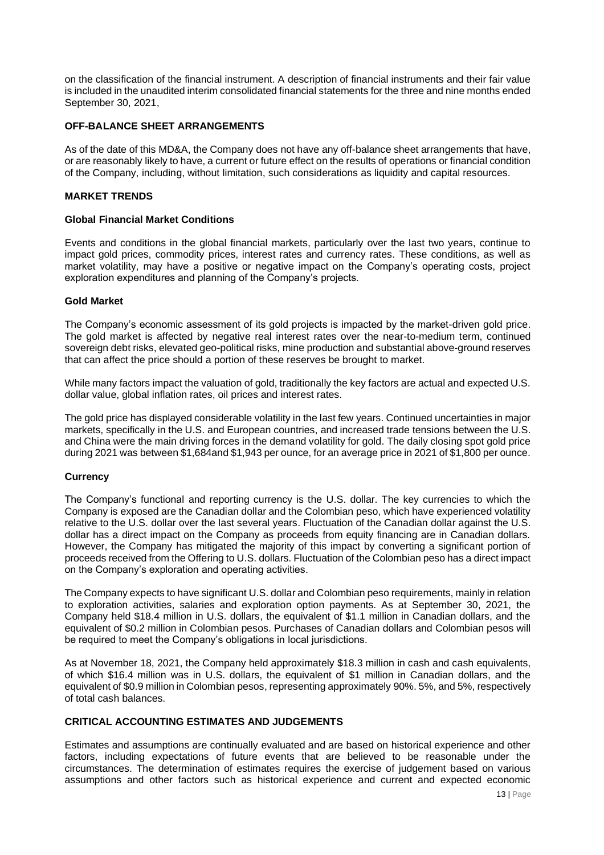on the classification of the financial instrument. A description of financial instruments and their fair value is included in the unaudited interim consolidated financial statements for the three and nine months ended September 30, 2021,

## <span id="page-12-0"></span>**OFF-BALANCE SHEET ARRANGEMENTS**

As of the date of this MD&A, the Company does not have any off-balance sheet arrangements that have, or are reasonably likely to have, a current or future effect on the results of operations or financial condition of the Company, including, without limitation, such considerations as liquidity and capital resources.

## <span id="page-12-1"></span>**MARKET TRENDS**

#### **Global Financial Market Conditions**

Events and conditions in the global financial markets, particularly over the last two years, continue to impact gold prices, commodity prices, interest rates and currency rates. These conditions, as well as market volatility, may have a positive or negative impact on the Company's operating costs, project exploration expenditures and planning of the Company's projects.

## **Gold Market**

The Company's economic assessment of its gold projects is impacted by the market-driven gold price. The gold market is affected by negative real interest rates over the near-to-medium term, continued sovereign debt risks, elevated geo-political risks, mine production and substantial above-ground reserves that can affect the price should a portion of these reserves be brought to market.

While many factors impact the valuation of gold, traditionally the key factors are actual and expected U.S. dollar value, global inflation rates, oil prices and interest rates.

The gold price has displayed considerable volatility in the last few years. Continued uncertainties in major markets, specifically in the U.S. and European countries, and increased trade tensions between the U.S. and China were the main driving forces in the demand volatility for gold. The daily closing spot gold price during 2021 was between \$1,684and \$1,943 per ounce, for an average price in 2021 of \$1,800 per ounce.

#### **Currency**

The Company's functional and reporting currency is the U.S. dollar. The key currencies to which the Company is exposed are the Canadian dollar and the Colombian peso, which have experienced volatility relative to the U.S. dollar over the last several years. Fluctuation of the Canadian dollar against the U.S. dollar has a direct impact on the Company as proceeds from equity financing are in Canadian dollars. However, the Company has mitigated the majority of this impact by converting a significant portion of proceeds received from the Offering to U.S. dollars. Fluctuation of the Colombian peso has a direct impact on the Company's exploration and operating activities.

The Company expects to have significant U.S. dollar and Colombian peso requirements, mainly in relation to exploration activities, salaries and exploration option payments. As at September 30, 2021, the Company held \$18.4 million in U.S. dollars, the equivalent of \$1.1 million in Canadian dollars, and the equivalent of \$0.2 million in Colombian pesos. Purchases of Canadian dollars and Colombian pesos will be required to meet the Company's obligations in local jurisdictions.

As at November 18, 2021, the Company held approximately \$18.3 million in cash and cash equivalents, of which \$16.4 million was in U.S. dollars, the equivalent of \$1 million in Canadian dollars, and the equivalent of \$0.9 million in Colombian pesos, representing approximately 90%. 5%, and 5%, respectively of total cash balances.

# <span id="page-12-2"></span>**CRITICAL ACCOUNTING ESTIMATES AND JUDGEMENTS**

Estimates and assumptions are continually evaluated and are based on historical experience and other factors, including expectations of future events that are believed to be reasonable under the circumstances. The determination of estimates requires the exercise of judgement based on various assumptions and other factors such as historical experience and current and expected economic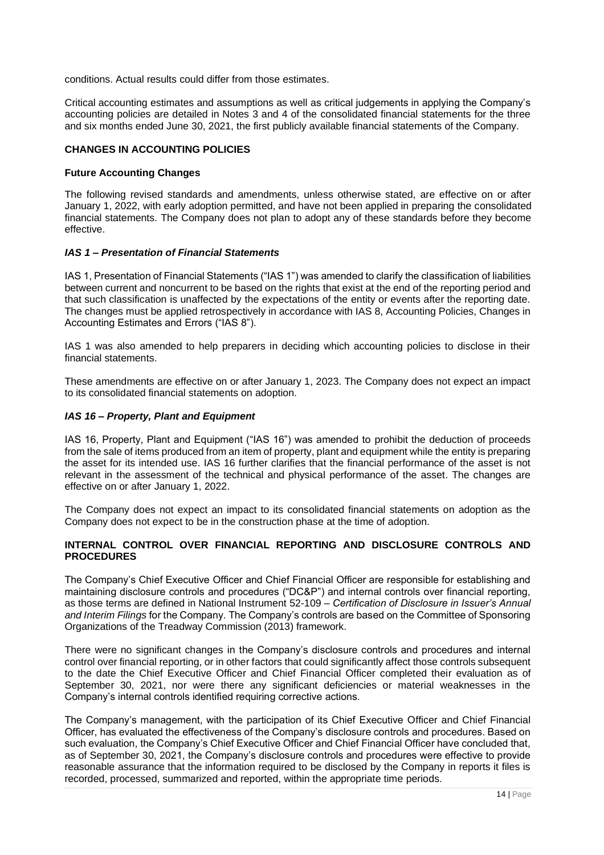conditions. Actual results could differ from those estimates.

Critical accounting estimates and assumptions as well as critical judgements in applying the Company's accounting policies are detailed in Notes 3 and 4 of the consolidated financial statements for the three and six months ended June 30, 2021, the first publicly available financial statements of the Company.

## <span id="page-13-0"></span>**CHANGES IN ACCOUNTING POLICIES**

#### **Future Accounting Changes**

The following revised standards and amendments, unless otherwise stated, are effective on or after January 1, 2022, with early adoption permitted, and have not been applied in preparing the consolidated financial statements. The Company does not plan to adopt any of these standards before they become effective.

## *IAS 1 – Presentation of Financial Statements*

IAS 1, Presentation of Financial Statements ("IAS 1") was amended to clarify the classification of liabilities between current and noncurrent to be based on the rights that exist at the end of the reporting period and that such classification is unaffected by the expectations of the entity or events after the reporting date. The changes must be applied retrospectively in accordance with IAS 8, Accounting Policies, Changes in Accounting Estimates and Errors ("IAS 8").

IAS 1 was also amended to help preparers in deciding which accounting policies to disclose in their financial statements.

These amendments are effective on or after January 1, 2023. The Company does not expect an impact to its consolidated financial statements on adoption.

## *IAS 16 – Property, Plant and Equipment*

IAS 16, Property, Plant and Equipment ("IAS 16") was amended to prohibit the deduction of proceeds from the sale of items produced from an item of property, plant and equipment while the entity is preparing the asset for its intended use. IAS 16 further clarifies that the financial performance of the asset is not relevant in the assessment of the technical and physical performance of the asset. The changes are effective on or after January 1, 2022.

The Company does not expect an impact to its consolidated financial statements on adoption as the Company does not expect to be in the construction phase at the time of adoption.

## <span id="page-13-1"></span>**INTERNAL CONTROL OVER FINANCIAL REPORTING AND DISCLOSURE CONTROLS AND PROCEDURES**

The Company's Chief Executive Officer and Chief Financial Officer are responsible for establishing and maintaining disclosure controls and procedures ("DC&P") and internal controls over financial reporting, as those terms are defined in National Instrument 52-109 – *Certification of Disclosure in Issuer's Annual and Interim Filings* for the Company. The Company's controls are based on the Committee of Sponsoring Organizations of the Treadway Commission (2013) framework.

There were no significant changes in the Company's disclosure controls and procedures and internal control over financial reporting, or in other factors that could significantly affect those controls subsequent to the date the Chief Executive Officer and Chief Financial Officer completed their evaluation as of September 30, 2021, nor were there any significant deficiencies or material weaknesses in the Company's internal controls identified requiring corrective actions.

The Company's management, with the participation of its Chief Executive Officer and Chief Financial Officer, has evaluated the effectiveness of the Company's disclosure controls and procedures. Based on such evaluation, the Company's Chief Executive Officer and Chief Financial Officer have concluded that, as of September 30, 2021, the Company's disclosure controls and procedures were effective to provide reasonable assurance that the information required to be disclosed by the Company in reports it files is recorded, processed, summarized and reported, within the appropriate time periods.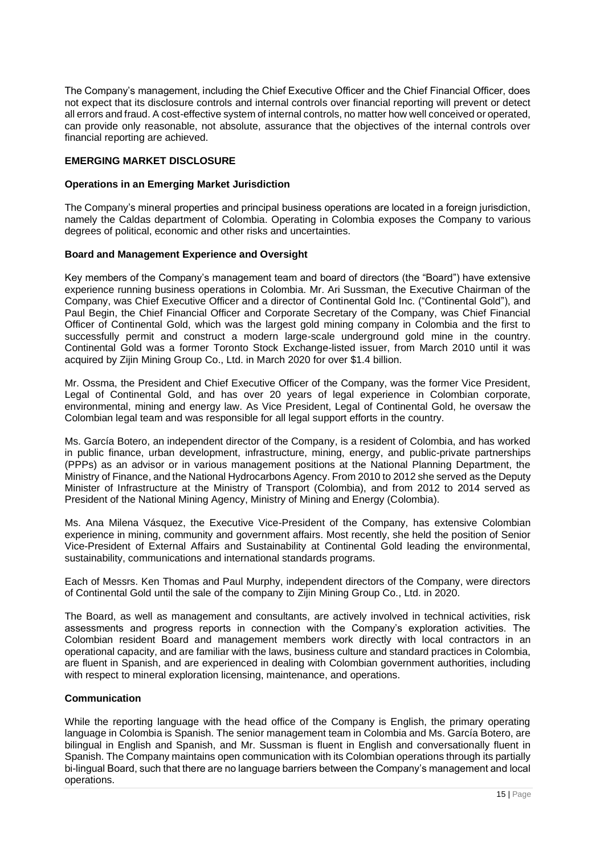The Company's management, including the Chief Executive Officer and the Chief Financial Officer, does not expect that its disclosure controls and internal controls over financial reporting will prevent or detect all errors and fraud. A cost-effective system of internal controls, no matter how well conceived or operated, can provide only reasonable, not absolute, assurance that the objectives of the internal controls over financial reporting are achieved.

# <span id="page-14-0"></span>**EMERGING MARKET DISCLOSURE**

## **Operations in an Emerging Market Jurisdiction**

The Company's mineral properties and principal business operations are located in a foreign jurisdiction, namely the Caldas department of Colombia. Operating in Colombia exposes the Company to various degrees of political, economic and other risks and uncertainties.

## **Board and Management Experience and Oversight**

Key members of the Company's management team and board of directors (the "Board") have extensive experience running business operations in Colombia. Mr. Ari Sussman, the Executive Chairman of the Company, was Chief Executive Officer and a director of Continental Gold Inc. ("Continental Gold"), and Paul Begin, the Chief Financial Officer and Corporate Secretary of the Company, was Chief Financial Officer of Continental Gold, which was the largest gold mining company in Colombia and the first to successfully permit and construct a modern large-scale underground gold mine in the country. Continental Gold was a former Toronto Stock Exchange-listed issuer, from March 2010 until it was acquired by Zijin Mining Group Co., Ltd. in March 2020 for over \$1.4 billion.

Mr. Ossma, the President and Chief Executive Officer of the Company, was the former Vice President, Legal of Continental Gold, and has over 20 years of legal experience in Colombian corporate, environmental, mining and energy law. As Vice President, Legal of Continental Gold, he oversaw the Colombian legal team and was responsible for all legal support efforts in the country.

Ms. García Botero, an independent director of the Company, is a resident of Colombia, and has worked in public finance, urban development, infrastructure, mining, energy, and public-private partnerships (PPPs) as an advisor or in various management positions at the National Planning Department, the Ministry of Finance, and the National Hydrocarbons Agency. From 2010 to 2012 she served as the Deputy Minister of Infrastructure at the Ministry of Transport (Colombia), and from 2012 to 2014 served as President of the National Mining Agency, Ministry of Mining and Energy (Colombia).

Ms. Ana Milena Vásquez, the Executive Vice-President of the Company, has extensive Colombian experience in mining, community and government affairs. Most recently, she held the position of Senior Vice-President of External Affairs and Sustainability at Continental Gold leading the environmental, sustainability, communications and international standards programs.

Each of Messrs. Ken Thomas and Paul Murphy, independent directors of the Company, were directors of Continental Gold until the sale of the company to Zijin Mining Group Co., Ltd. in 2020.

The Board, as well as management and consultants, are actively involved in technical activities, risk assessments and progress reports in connection with the Company's exploration activities. The Colombian resident Board and management members work directly with local contractors in an operational capacity, and are familiar with the laws, business culture and standard practices in Colombia, are fluent in Spanish, and are experienced in dealing with Colombian government authorities, including with respect to mineral exploration licensing, maintenance, and operations.

#### **Communication**

While the reporting language with the head office of the Company is English, the primary operating language in Colombia is Spanish. The senior management team in Colombia and Ms. García Botero, are bilingual in English and Spanish, and Mr. Sussman is fluent in English and conversationally fluent in Spanish. The Company maintains open communication with its Colombian operations through its partially bi-lingual Board, such that there are no language barriers between the Company's management and local operations.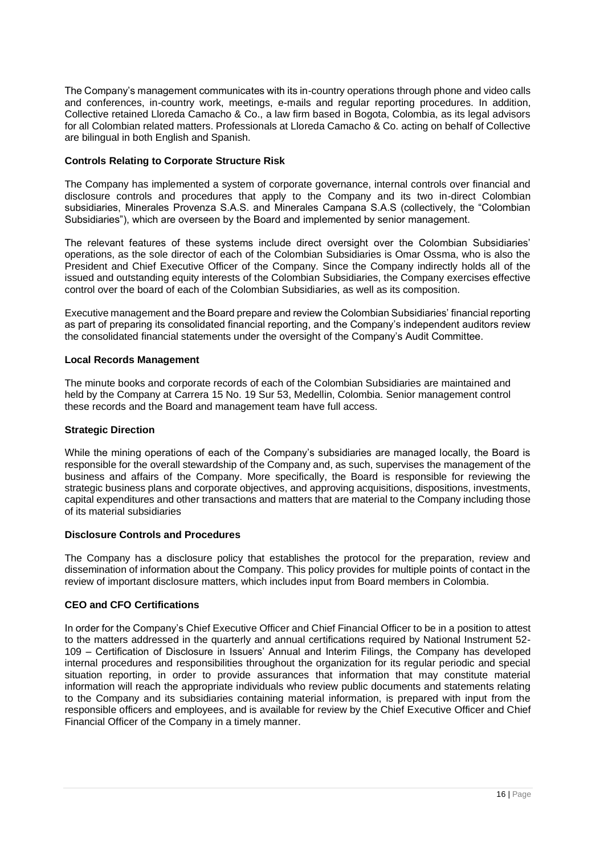The Company's management communicates with its in-country operations through phone and video calls and conferences, in-country work, meetings, e-mails and regular reporting procedures. [In addition,](https://lloredacamacho.com/)  [Collective retained Lloreda Camacho & Co., a law firm based in Bogota, Colombia, as its legal advisors](https://lloredacamacho.com/)  [for all Colombian related matters. Professionals at Lloreda Camacho & Co. acting on behalf of Collective](https://lloredacamacho.com/)  [are bilingual in both English and Spanish.](https://lloredacamacho.com/) 

# **Controls Relating to Corporate Structure Risk**

The Company has implemented a system of corporate governance, internal controls over financial and disclosure controls and procedures that apply to the Company and its two in-direct Colombian subsidiaries, Minerales Provenza S.A.S. and Minerales Campana S.A.S (collectively, the "Colombian Subsidiaries"), which are overseen by the Board and implemented by senior management.

The relevant features of these systems include direct oversight over the Colombian Subsidiaries' operations, as the sole director of each of the Colombian Subsidiaries is Omar Ossma, who is also the President and Chief Executive Officer of the Company. Since the Company indirectly holds all of the issued and outstanding equity interests of the Colombian Subsidiaries, the Company exercises effective control over the board of each of the Colombian Subsidiaries, as well as its composition.

Executive management and the Board prepare and review the Colombian Subsidiaries' financial reporting as part of preparing its consolidated financial reporting, and the Company's independent auditors review the consolidated financial statements under the oversight of the Company's Audit Committee.

# **Local Records Management**

The minute books and corporate records of each of the Colombian Subsidiaries are maintained and held by the Company at Carrera 15 No. 19 Sur 53, Medellin, Colombia. Senior management control these records and the Board and management team have full access.

## **Strategic Direction**

While the mining operations of each of the Company's subsidiaries are managed locally, the Board is responsible for the overall stewardship of the Company and, as such, supervises the management of the business and affairs of the Company. More specifically, the Board is responsible for reviewing the strategic business plans and corporate objectives, and approving acquisitions, dispositions, investments, capital expenditures and other transactions and matters that are material to the Company including those of its material subsidiaries

# **Disclosure Controls and Procedures**

The Company has a disclosure policy that establishes the protocol for the preparation, review and dissemination of information about the Company. This policy provides for multiple points of contact in the review of important disclosure matters, which includes input from Board members in Colombia.

# **CEO and CFO Certifications**

In order for the Company's Chief Executive Officer and Chief Financial Officer to be in a position to attest to the matters addressed in the quarterly and annual certifications required by National Instrument 52- 109 – Certification of Disclosure in Issuers' Annual and Interim Filings, the Company has developed internal procedures and responsibilities throughout the organization for its regular periodic and special situation reporting, in order to provide assurances that information that may constitute material information will reach the appropriate individuals who review public documents and statements relating to the Company and its subsidiaries containing material information, is prepared with input from the responsible officers and employees, and is available for review by the Chief Executive Officer and Chief Financial Officer of the Company in a timely manner.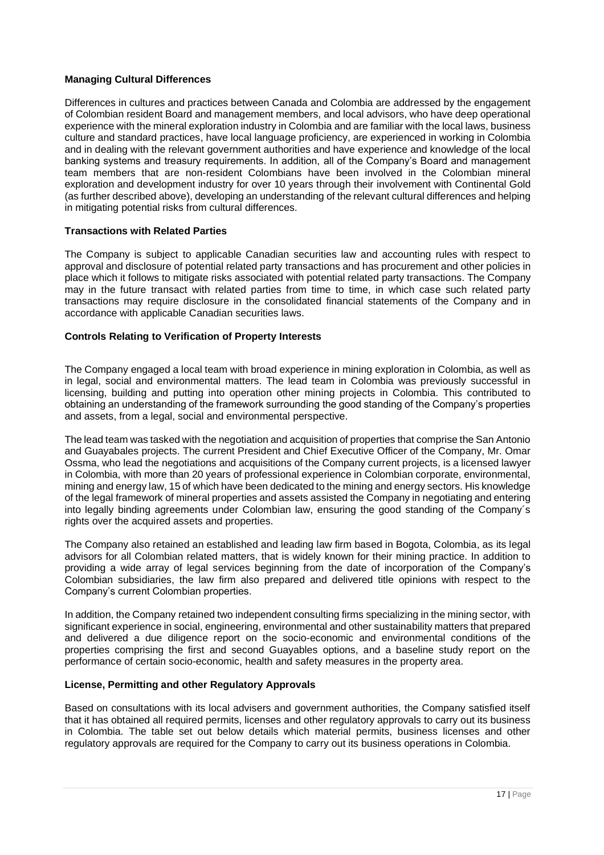## **Managing Cultural Differences**

Differences in cultures and practices between Canada and Colombia are addressed by the engagement of Colombian resident Board and management members, and local advisors, who have deep operational experience with the mineral exploration industry in Colombia and are familiar with the local laws, business culture and standard practices, have local language proficiency, are experienced in working in Colombia and in dealing with the relevant government authorities and have experience and knowledge of the local banking systems and treasury requirements. In addition, all of the Company's Board and management team members that are non-resident Colombians have been involved in the Colombian mineral exploration and development industry for over 10 years through their involvement with Continental Gold (as further described above), developing an understanding of the relevant cultural differences and helping in mitigating potential risks from cultural differences.

## **Transactions with Related Parties**

The Company is subject to applicable Canadian securities law and accounting rules with respect to approval and disclosure of potential related party transactions and has procurement and other policies in place which it follows to mitigate risks associated with potential related party transactions. The Company may in the future transact with related parties from time to time, in which case such related party transactions may require disclosure in the consolidated financial statements of the Company and in accordance with applicable Canadian securities laws.

## **Controls Relating to Verification of Property Interests**

The Company engaged a local team with broad experience in mining exploration in Colombia, as well as in legal, social and environmental matters. The lead team in Colombia was previously successful in licensing, building and putting into operation other mining projects in Colombia. This contributed to obtaining an understanding of the framework surrounding the good standing of the Company's properties and assets, from a legal, social and environmental perspective.

The lead team was tasked with the negotiation and acquisition of properties that comprise the San Antonio and Guayabales projects. The current President and Chief Executive Officer of the Company, Mr. Omar Ossma, who lead the negotiations and acquisitions of the Company current projects, is a licensed lawyer in Colombia, with more than 20 years of professional experience in Colombian corporate, environmental, mining and energy law, 15 of which have been dedicated to the mining and energy sectors. His knowledge of the legal framework of mineral properties and assets assisted the Company in negotiating and entering into legally binding agreements under Colombian law, ensuring the good standing of the Company´s rights over the acquired assets and properties.

The Company also retained an established and leading law firm based in Bogota, Colombia, as its legal advisors for all Colombian related matters, that is widely known for their mining practice. In addition to providing a wide array of legal services beginning from the date of incorporation of the Company's Colombian subsidiaries, the law firm also prepared and delivered title opinions with respect to the Company's current Colombian properties.

In addition, the Company retained two independent consulting firms specializing in the mining sector, with significant experience in social, engineering, environmental and other sustainability matters that prepared and delivered a due diligence report on the socio-economic and environmental conditions of the properties comprising the first and second Guayables options, and a baseline study report on the performance of certain socio-economic, health and safety measures in the property area.

## **License, Permitting and other Regulatory Approvals**

Based on consultations with its local advisers and government authorities, the Company satisfied itself that it has obtained all required permits, licenses and other regulatory approvals to carry out its business in Colombia. The table set out below details which material permits, business licenses and other regulatory approvals are required for the Company to carry out its business operations in Colombia.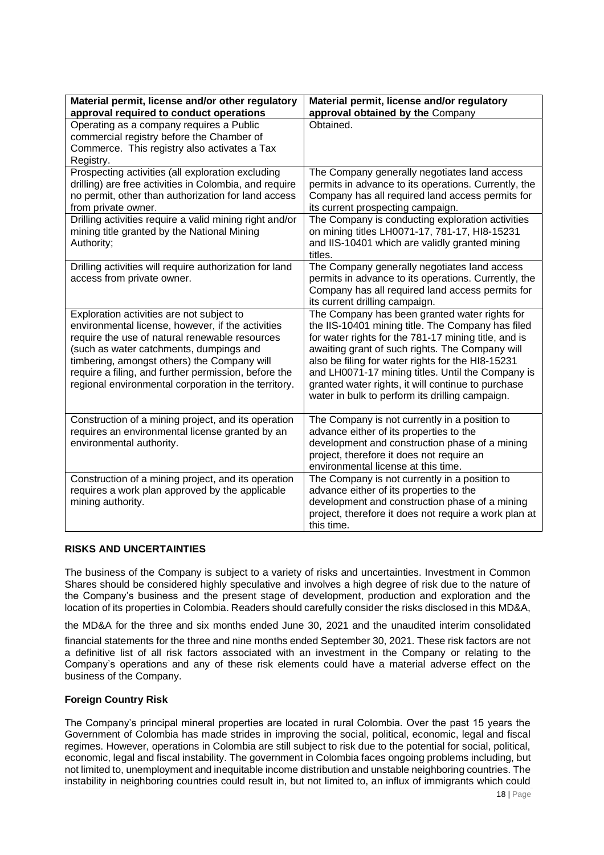| Material permit, license and/or other regulatory<br>approval required to conduct operations                                                                                                                                                                                                                                                                | Material permit, license and/or regulatory<br>approval obtained by the Company                                                                                                                                                                                                                                                                                                                                                   |  |  |
|------------------------------------------------------------------------------------------------------------------------------------------------------------------------------------------------------------------------------------------------------------------------------------------------------------------------------------------------------------|----------------------------------------------------------------------------------------------------------------------------------------------------------------------------------------------------------------------------------------------------------------------------------------------------------------------------------------------------------------------------------------------------------------------------------|--|--|
| Operating as a company requires a Public<br>commercial registry before the Chamber of<br>Commerce. This registry also activates a Tax<br>Registry.                                                                                                                                                                                                         | Obtained.                                                                                                                                                                                                                                                                                                                                                                                                                        |  |  |
| Prospecting activities (all exploration excluding<br>drilling) are free activities in Colombia, and require<br>no permit, other than authorization for land access<br>from private owner.                                                                                                                                                                  | The Company generally negotiates land access<br>permits in advance to its operations. Currently, the<br>Company has all required land access permits for<br>its current prospecting campaign.                                                                                                                                                                                                                                    |  |  |
| Drilling activities require a valid mining right and/or<br>mining title granted by the National Mining<br>Authority;                                                                                                                                                                                                                                       | The Company is conducting exploration activities<br>on mining titles LH0071-17, 781-17, HI8-15231<br>and IIS-10401 which are validly granted mining<br>titles.                                                                                                                                                                                                                                                                   |  |  |
| Drilling activities will require authorization for land<br>access from private owner.                                                                                                                                                                                                                                                                      | The Company generally negotiates land access<br>permits in advance to its operations. Currently, the<br>Company has all required land access permits for<br>its current drilling campaign.                                                                                                                                                                                                                                       |  |  |
| Exploration activities are not subject to<br>environmental license, however, if the activities<br>require the use of natural renewable resources<br>(such as water catchments, dumpings and<br>timbering, amongst others) the Company will<br>require a filing, and further permission, before the<br>regional environmental corporation in the territory. | The Company has been granted water rights for<br>the IIS-10401 mining title. The Company has filed<br>for water rights for the 781-17 mining title, and is<br>awaiting grant of such rights. The Company will<br>also be filing for water rights for the HI8-15231<br>and LH0071-17 mining titles. Until the Company is<br>granted water rights, it will continue to purchase<br>water in bulk to perform its drilling campaign. |  |  |
| Construction of a mining project, and its operation<br>requires an environmental license granted by an<br>environmental authority.                                                                                                                                                                                                                         | The Company is not currently in a position to<br>advance either of its properties to the<br>development and construction phase of a mining<br>project, therefore it does not require an<br>environmental license at this time.                                                                                                                                                                                                   |  |  |
| Construction of a mining project, and its operation<br>requires a work plan approved by the applicable<br>mining authority.                                                                                                                                                                                                                                | The Company is not currently in a position to<br>advance either of its properties to the<br>development and construction phase of a mining<br>project, therefore it does not require a work plan at<br>this time.                                                                                                                                                                                                                |  |  |

# <span id="page-17-0"></span>**RISKS AND UNCERTAINTIES**

The business of the Company is subject to a variety of risks and uncertainties. Investment in Common Shares should be considered highly speculative and involves a high degree of risk due to the nature of the Company's business and the present stage of development, production and exploration and the location of its properties in Colombia. Readers should carefully consider the risks disclosed in this MD&A,

the MD&A for the three and six months ended June 30, 2021 and the unaudited interim consolidated

financial statements for the three and nine months ended September 30, 2021. These risk factors are not a definitive list of all risk factors associated with an investment in the Company or relating to the Company's operations and any of these risk elements could have a material adverse effect on the business of the Company.

# **Foreign Country Risk**

The Company's principal mineral properties are located in rural Colombia. Over the past 15 years the Government of Colombia has made strides in improving the social, political, economic, legal and fiscal regimes. However, operations in Colombia are still subject to risk due to the potential for social, political, economic, legal and fiscal instability. The government in Colombia faces ongoing problems including, but not limited to, unemployment and inequitable income distribution and unstable neighboring countries. The instability in neighboring countries could result in, but not limited to, an influx of immigrants which could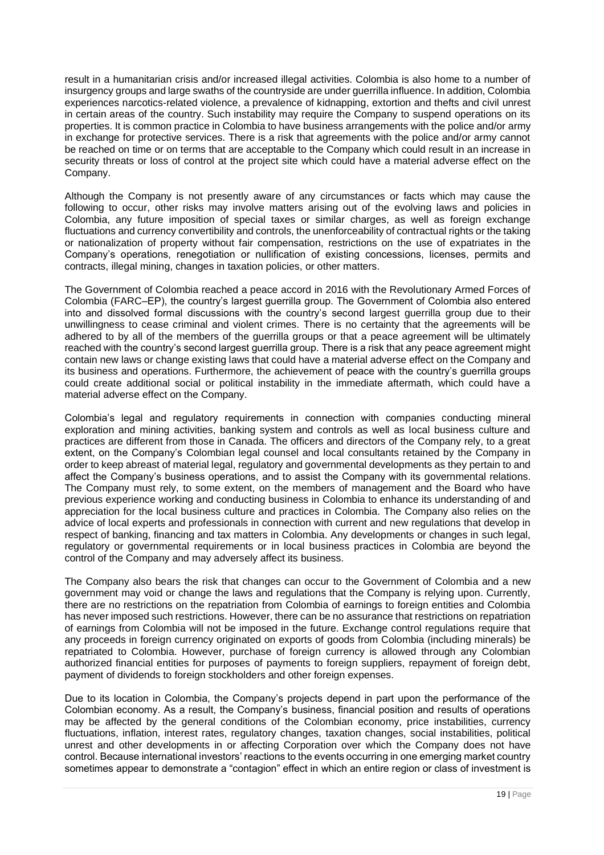result in a humanitarian crisis and/or increased illegal activities. Colombia is also home to a number of insurgency groups and large swaths of the countryside are under guerrilla influence. In addition, Colombia experiences narcotics-related violence, a prevalence of kidnapping, extortion and thefts and civil unrest in certain areas of the country. Such instability may require the Company to suspend operations on its properties. It is common practice in Colombia to have business arrangements with the police and/or army in exchange for protective services. There is a risk that agreements with the police and/or army cannot be reached on time or on terms that are acceptable to the Company which could result in an increase in security threats or loss of control at the project site which could have a material adverse effect on the Company.

Although the Company is not presently aware of any circumstances or facts which may cause the following to occur, other risks may involve matters arising out of the evolving laws and policies in Colombia, any future imposition of special taxes or similar charges, as well as foreign exchange fluctuations and currency convertibility and controls, the unenforceability of contractual rights or the taking or nationalization of property without fair compensation, restrictions on the use of expatriates in the Company's operations, renegotiation or nullification of existing concessions, licenses, permits and contracts, illegal mining, changes in taxation policies, or other matters.

The Government of Colombia reached a peace accord in 2016 with the Revolutionary Armed Forces of Colombia (FARC–EP), the country's largest guerrilla group. The Government of Colombia also entered into and dissolved formal discussions with the country's second largest guerrilla group due to their unwillingness to cease criminal and violent crimes. There is no certainty that the agreements will be adhered to by all of the members of the guerrilla groups or that a peace agreement will be ultimately reached with the country's second largest guerrilla group. There is a risk that any peace agreement might contain new laws or change existing laws that could have a material adverse effect on the Company and its business and operations. Furthermore, the achievement of peace with the country's guerrilla groups could create additional social or political instability in the immediate aftermath, which could have a material adverse effect on the Company.

Colombia's legal and regulatory requirements in connection with companies conducting mineral exploration and mining activities, banking system and controls as well as local business culture and practices are different from those in Canada. The officers and directors of the Company rely, to a great extent, on the Company's Colombian legal counsel and local consultants retained by the Company in order to keep abreast of material legal, regulatory and governmental developments as they pertain to and affect the Company's business operations, and to assist the Company with its governmental relations. The Company must rely, to some extent, on the members of management and the Board who have previous experience working and conducting business in Colombia to enhance its understanding of and appreciation for the local business culture and practices in Colombia. The Company also relies on the advice of local experts and professionals in connection with current and new regulations that develop in respect of banking, financing and tax matters in Colombia. Any developments or changes in such legal, regulatory or governmental requirements or in local business practices in Colombia are beyond the control of the Company and may adversely affect its business.

The Company also bears the risk that changes can occur to the Government of Colombia and a new government may void or change the laws and regulations that the Company is relying upon. Currently, there are no restrictions on the repatriation from Colombia of earnings to foreign entities and Colombia has never imposed such restrictions. However, there can be no assurance that restrictions on repatriation of earnings from Colombia will not be imposed in the future. Exchange control regulations require that any proceeds in foreign currency originated on exports of goods from Colombia (including minerals) be repatriated to Colombia. However, purchase of foreign currency is allowed through any Colombian authorized financial entities for purposes of payments to foreign suppliers, repayment of foreign debt, payment of dividends to foreign stockholders and other foreign expenses.

Due to its location in Colombia, the Company's projects depend in part upon the performance of the Colombian economy. As a result, the Company's business, financial position and results of operations may be affected by the general conditions of the Colombian economy, price instabilities, currency fluctuations, inflation, interest rates, regulatory changes, taxation changes, social instabilities, political unrest and other developments in or affecting Corporation over which the Company does not have control. Because international investors' reactions to the events occurring in one emerging market country sometimes appear to demonstrate a "contagion" effect in which an entire region or class of investment is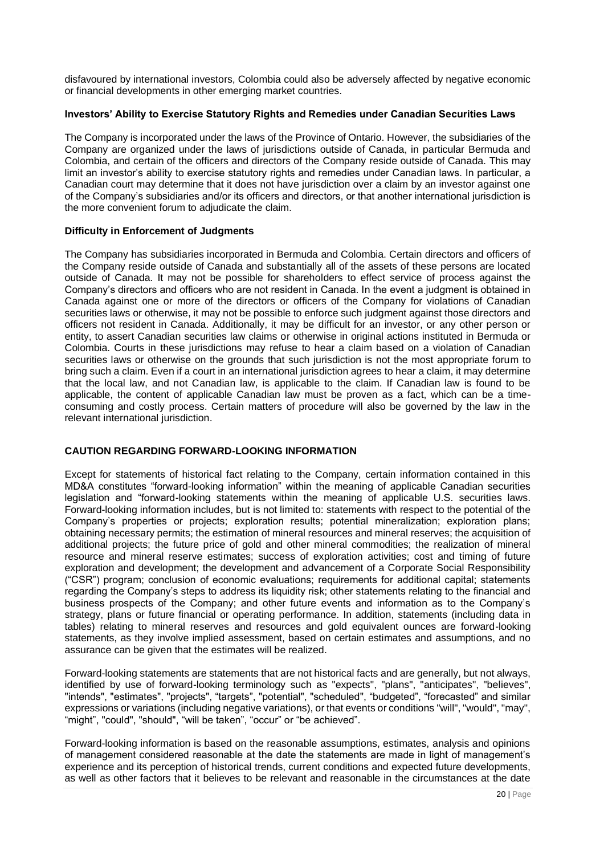disfavoured by international investors, Colombia could also be adversely affected by negative economic or financial developments in other emerging market countries.

## **Investors' Ability to Exercise Statutory Rights and Remedies under Canadian Securities Laws**

The Company is incorporated under the laws of the Province of Ontario. However, the subsidiaries of the Company are organized under the laws of jurisdictions outside of Canada, in particular Bermuda and Colombia, and certain of the officers and directors of the Company reside outside of Canada. This may limit an investor's ability to exercise statutory rights and remedies under Canadian laws. In particular, a Canadian court may determine that it does not have jurisdiction over a claim by an investor against one of the Company's subsidiaries and/or its officers and directors, or that another international jurisdiction is the more convenient forum to adjudicate the claim.

## **Difficulty in Enforcement of Judgments**

The Company has subsidiaries incorporated in Bermuda and Colombia. Certain directors and officers of the Company reside outside of Canada and substantially all of the assets of these persons are located outside of Canada. It may not be possible for shareholders to effect service of process against the Company's directors and officers who are not resident in Canada. In the event a judgment is obtained in Canada against one or more of the directors or officers of the Company for violations of Canadian securities laws or otherwise, it may not be possible to enforce such judgment against those directors and officers not resident in Canada. Additionally, it may be difficult for an investor, or any other person or entity, to assert Canadian securities law claims or otherwise in original actions instituted in Bermuda or Colombia. Courts in these jurisdictions may refuse to hear a claim based on a violation of Canadian securities laws or otherwise on the grounds that such jurisdiction is not the most appropriate forum to bring such a claim. Even if a court in an international jurisdiction agrees to hear a claim, it may determine that the local law, and not Canadian law, is applicable to the claim. If Canadian law is found to be applicable, the content of applicable Canadian law must be proven as a fact, which can be a timeconsuming and costly process. Certain matters of procedure will also be governed by the law in the relevant international jurisdiction.

# <span id="page-19-0"></span>**CAUTION REGARDING FORWARD-LOOKING INFORMATION**

Except for statements of historical fact relating to the Company, certain information contained in this MD&A constitutes "forward-looking information" within the meaning of applicable Canadian securities legislation and "forward-looking statements within the meaning of applicable U.S. securities laws. Forward-looking information includes, but is not limited to: statements with respect to the potential of the Company's properties or projects; exploration results; potential mineralization; exploration plans; obtaining necessary permits; the estimation of mineral resources and mineral reserves; the acquisition of additional projects; the future price of gold and other mineral commodities; the realization of mineral resource and mineral reserve estimates; success of exploration activities; cost and timing of future exploration and development; the development and advancement of a Corporate Social Responsibility ("CSR") program; conclusion of economic evaluations; requirements for additional capital; statements regarding the Company's steps to address its liquidity risk; other statements relating to the financial and business prospects of the Company; and other future events and information as to the Company's strategy, plans or future financial or operating performance. In addition, statements (including data in tables) relating to mineral reserves and resources and gold equivalent ounces are forward-looking statements, as they involve implied assessment, based on certain estimates and assumptions, and no assurance can be given that the estimates will be realized.

Forward-looking statements are statements that are not historical facts and are generally, but not always, identified by use of forward-looking terminology such as "expects", "plans", "anticipates", "believes", "intends", "estimates", "projects", "targets", "potential", "scheduled", "budgeted", "forecasted" and similar expressions or variations (including negative variations), or that events or conditions "will", "would", "may", "might", "could", "should", "will be taken", "occur" or "be achieved".

Forward-looking information is based on the reasonable assumptions, estimates, analysis and opinions of management considered reasonable at the date the statements are made in light of management's experience and its perception of historical trends, current conditions and expected future developments, as well as other factors that it believes to be relevant and reasonable in the circumstances at the date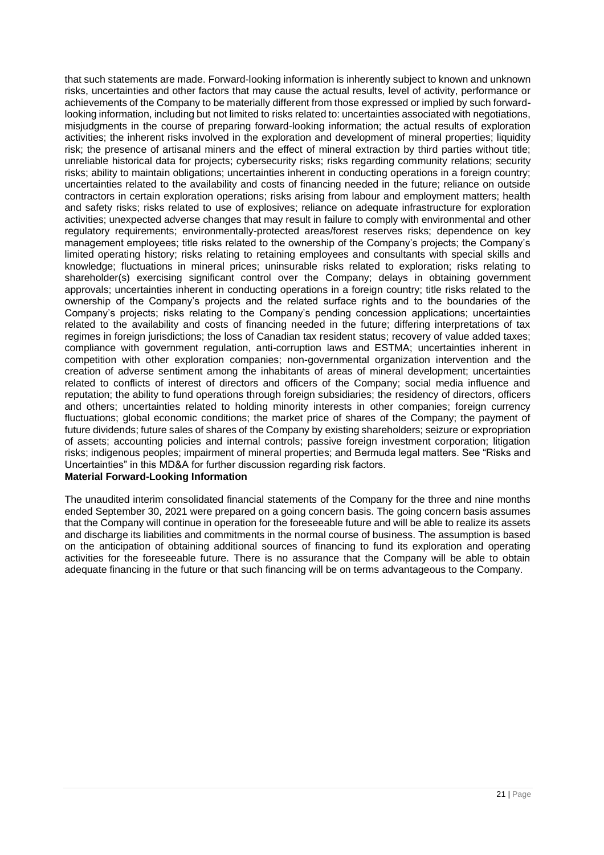that such statements are made. Forward-looking information is inherently subject to known and unknown risks, uncertainties and other factors that may cause the actual results, level of activity, performance or achievements of the Company to be materially different from those expressed or implied by such forwardlooking information, including but not limited to risks related to: uncertainties associated with negotiations, misjudgments in the course of preparing forward-looking information; the actual results of exploration activities; the inherent risks involved in the exploration and development of mineral properties; liquidity risk; the presence of artisanal miners and the effect of mineral extraction by third parties without title; unreliable historical data for projects; cybersecurity risks; risks regarding community relations; security risks; ability to maintain obligations; uncertainties inherent in conducting operations in a foreign country; uncertainties related to the availability and costs of financing needed in the future; reliance on outside contractors in certain exploration operations; risks arising from labour and employment matters; health and safety risks; risks related to use of explosives; reliance on adequate infrastructure for exploration activities; unexpected adverse changes that may result in failure to comply with environmental and other regulatory requirements; environmentally-protected areas/forest reserves risks; dependence on key management employees; title risks related to the ownership of the Company's projects; the Company's limited operating history; risks relating to retaining employees and consultants with special skills and knowledge; fluctuations in mineral prices; uninsurable risks related to exploration; risks relating to shareholder(s) exercising significant control over the Company; delays in obtaining government approvals; uncertainties inherent in conducting operations in a foreign country; title risks related to the ownership of the Company's projects and the related surface rights and to the boundaries of the Company's projects; risks relating to the Company's pending concession applications; uncertainties related to the availability and costs of financing needed in the future; differing interpretations of tax regimes in foreign jurisdictions; the loss of Canadian tax resident status; recovery of value added taxes; compliance with government regulation, anti-corruption laws and ESTMA; uncertainties inherent in competition with other exploration companies; non-governmental organization intervention and the creation of adverse sentiment among the inhabitants of areas of mineral development; uncertainties related to conflicts of interest of directors and officers of the Company; social media influence and reputation; the ability to fund operations through foreign subsidiaries; the residency of directors, officers and others; uncertainties related to holding minority interests in other companies; foreign currency fluctuations; global economic conditions; the market price of shares of the Company; the payment of future dividends; future sales of shares of the Company by existing shareholders; seizure or expropriation of assets; accounting policies and internal controls; passive foreign investment corporation; litigation risks; indigenous peoples; impairment of mineral properties; and Bermuda legal matters. See "Risks and Uncertainties" in this MD&A for further discussion regarding risk factors.

# **Material Forward-Looking Information**

The unaudited interim consolidated financial statements of the Company for the three and nine months ended September 30, 2021 were prepared on a going concern basis. The going concern basis assumes that the Company will continue in operation for the foreseeable future and will be able to realize its assets and discharge its liabilities and commitments in the normal course of business. The assumption is based on the anticipation of obtaining additional sources of financing to fund its exploration and operating activities for the foreseeable future. There is no assurance that the Company will be able to obtain adequate financing in the future or that such financing will be on terms advantageous to the Company.